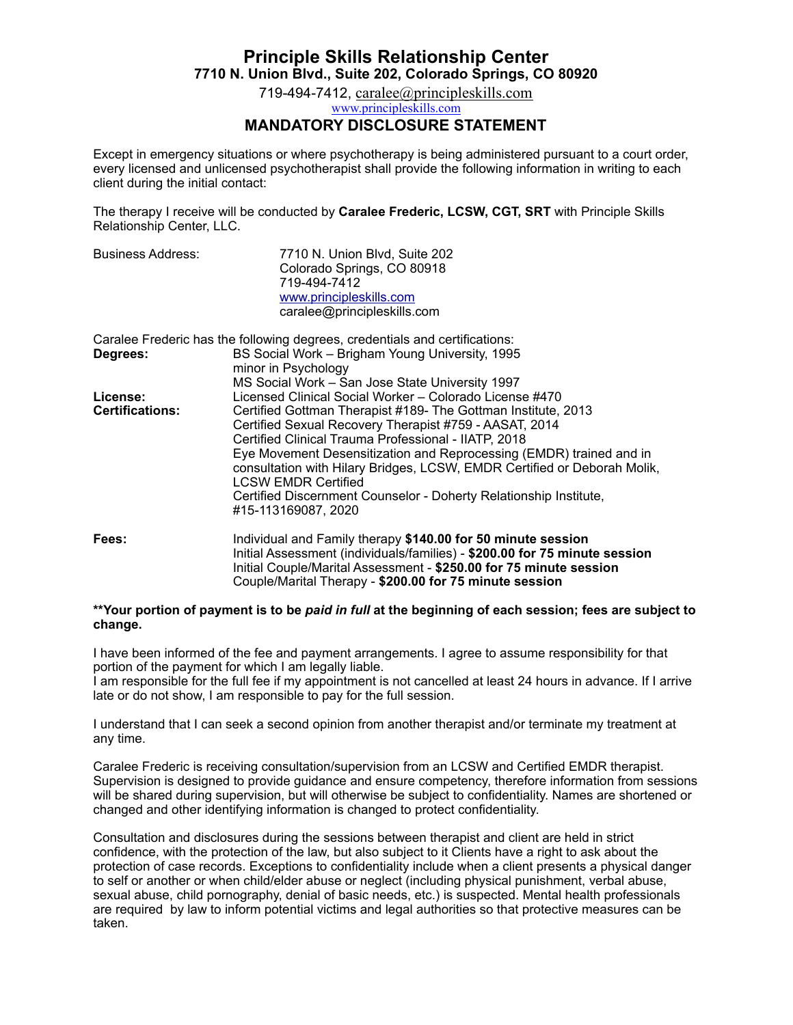# **Principle Skills Relationship Center 7710 N. Union Blvd., Suite 202, Colorado Springs, CO 80920**

719-494-7412, [caralee@principleskills.com](mailto:caralee@principleskills.com) [www.principleskills.com](http://www.principleskills.com)

#### **MANDATORY DISCLOSURE STATEMENT**

Except in emergency situations or where psychotherapy is being administered pursuant to a court order, every licensed and unlicensed psychotherapist shall provide the following information in writing to each client during the initial contact:

The therapy I receive will be conducted by **Caralee Frederic, LCSW, CGT, SRT** with Principle Skills Relationship Center, LLC.

| <b>Business Address:</b> | 7710 N. Union Blvd. Suite 202 |
|--------------------------|-------------------------------|
|                          | Colorado Springs, CO 80918    |
|                          | 719-494-7412                  |
|                          | www.principleskills.com       |
|                          | caralee@principleskills.com   |

|                        | Caralee Frederic has the following degrees, credentials and certifications:                            |
|------------------------|--------------------------------------------------------------------------------------------------------|
| Degrees:               | BS Social Work – Brigham Young University, 1995                                                        |
|                        | minor in Psychology                                                                                    |
|                        | MS Social Work - San Jose State University 1997                                                        |
| License:               | Licensed Clinical Social Worker – Colorado License #470                                                |
| <b>Certifications:</b> | Certified Gottman Therapist #189- The Gottman Institute, 2013                                          |
|                        | Certified Sexual Recovery Therapist #759 - AASAT, 2014                                                 |
|                        | Certified Clinical Trauma Professional - IIATP, 2018                                                   |
|                        | Eye Movement Desensitization and Reprocessing (EMDR) trained and in                                    |
|                        | consultation with Hilary Bridges, LCSW, EMDR Certified or Deborah Molik,<br><b>LCSW EMDR Certified</b> |
|                        |                                                                                                        |
|                        | Certified Discernment Counselor - Doherty Relationship Institute,<br>#15-113169087, 2020               |
| Fees:                  | Individual and Family therapy \$140.00 for 50 minute session                                           |
|                        | Initial Assessment (individuals/families) - \$200.00 for 75 minute session                             |

#### **\*\*Your portion of payment is to be** *paid in full* **at the beginning of each session; fees are subject to change.**

Couple/Marital Therapy - **\$200.00 for 75 minute session** 

Initial Couple/Marital Assessment - **\$250.00 for 75 minute session** 

I have been informed of the fee and payment arrangements. I agree to assume responsibility for that portion of the payment for which I am legally liable.

I am responsible for the full fee if my appointment is not cancelled at least 24 hours in advance. If I arrive late or do not show, I am responsible to pay for the full session.

I understand that I can seek a second opinion from another therapist and/or terminate my treatment at any time.

Caralee Frederic is receiving consultation/supervision from an LCSW and Certified EMDR therapist. Supervision is designed to provide guidance and ensure competency, therefore information from sessions will be shared during supervision, but will otherwise be subject to confidentiality. Names are shortened or changed and other identifying information is changed to protect confidentiality.

Consultation and disclosures during the sessions between therapist and client are held in strict confidence, with the protection of the law, but also subject to it Clients have a right to ask about the protection of case records. Exceptions to confidentiality include when a client presents a physical danger to self or another or when child/elder abuse or neglect (including physical punishment, verbal abuse, sexual abuse, child pornography, denial of basic needs, etc.) is suspected. Mental health professionals are required by law to inform potential victims and legal authorities so that protective measures can be taken.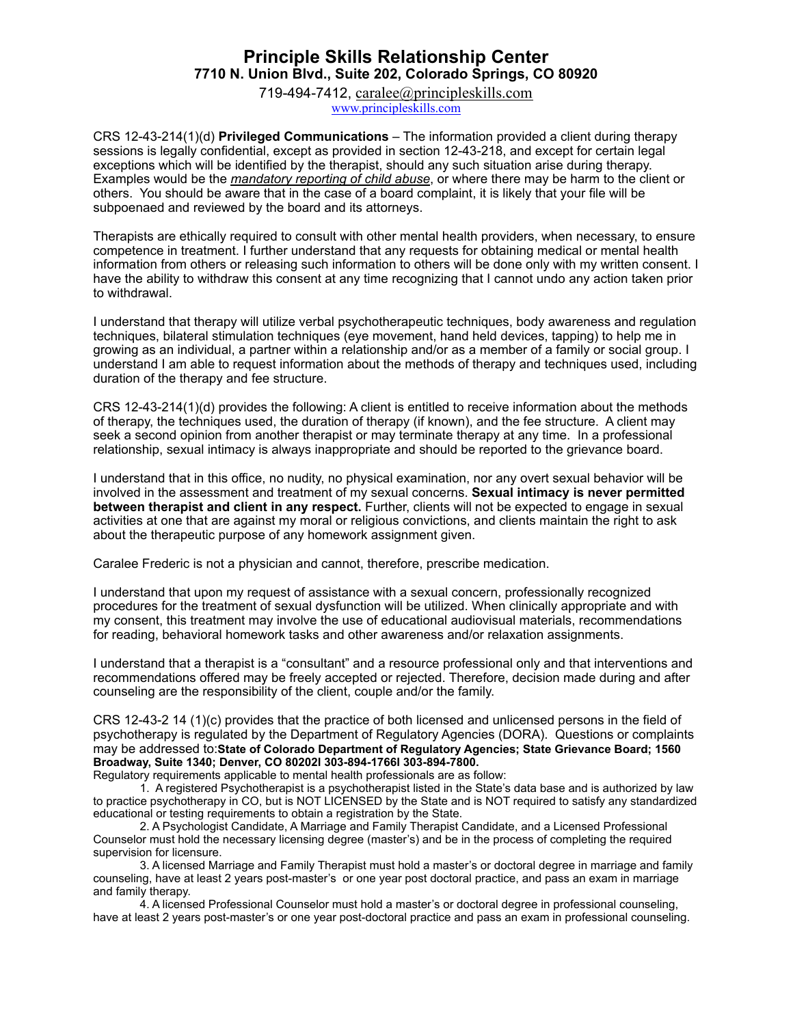## **Principle Skills Relationship Center 7710 N. Union Blvd., Suite 202, Colorado Springs, CO 80920**

719-494-7412, [caralee@principleskills.com](mailto:caralee@principleskills.com) [www.principleskills.com](http://www.principleskills.com)

CRS 12-43-214(1)(d) **Privileged Communications** – The information provided a client during therapy sessions is legally confidential, except as provided in section 12-43-218, and except for certain legal exceptions which will be identified by the therapist, should any such situation arise during therapy. Examples would be the *mandatory reporting of child abuse*, or where there may be harm to the client or others. You should be aware that in the case of a board complaint, it is likely that your file will be subpoenaed and reviewed by the board and its attorneys.

Therapists are ethically required to consult with other mental health providers, when necessary, to ensure competence in treatment. I further understand that any requests for obtaining medical or mental health information from others or releasing such information to others will be done only with my written consent. I have the ability to withdraw this consent at any time recognizing that I cannot undo any action taken prior to withdrawal.

I understand that therapy will utilize verbal psychotherapeutic techniques, body awareness and regulation techniques, bilateral stimulation techniques (eye movement, hand held devices, tapping) to help me in growing as an individual, a partner within a relationship and/or as a member of a family or social group. I understand I am able to request information about the methods of therapy and techniques used, including duration of the therapy and fee structure.

CRS 12-43-214(1)(d) provides the following: A client is entitled to receive information about the methods of therapy, the techniques used, the duration of therapy (if known), and the fee structure. A client may seek a second opinion from another therapist or may terminate therapy at any time. In a professional relationship, sexual intimacy is always inappropriate and should be reported to the grievance board.

I understand that in this office, no nudity, no physical examination, nor any overt sexual behavior will be involved in the assessment and treatment of my sexual concerns. **Sexual intimacy is never permitted between therapist and client in any respect.** Further, clients will not be expected to engage in sexual activities at one that are against my moral or religious convictions, and clients maintain the right to ask about the therapeutic purpose of any homework assignment given.

Caralee Frederic is not a physician and cannot, therefore, prescribe medication.

I understand that upon my request of assistance with a sexual concern, professionally recognized procedures for the treatment of sexual dysfunction will be utilized. When clinically appropriate and with my consent, this treatment may involve the use of educational audiovisual materials, recommendations for reading, behavioral homework tasks and other awareness and/or relaxation assignments.

I understand that a therapist is a "consultant" and a resource professional only and that interventions and recommendations offered may be freely accepted or rejected. Therefore, decision made during and after counseling are the responsibility of the client, couple and/or the family.

CRS 12-43-2 14 (1)(c) provides that the practice of both licensed and unlicensed persons in the field of psychotherapy is regulated by the Department of Regulatory Agencies (DORA). Questions or complaints may be addressed to:**State of Colorado Department of Regulatory Agencies; State Grievance Board; 1560 Broadway, Suite 1340; Denver, CO 80202l 303-894-1766l 303-894-7800.** 

Regulatory requirements applicable to mental health professionals are as follow:

 1. A registered Psychotherapist is a psychotherapist listed in the State's data base and is authorized by law to practice psychotherapy in CO, but is NOT LICENSED by the State and is NOT required to satisfy any standardized educational or testing requirements to obtain a registration by the State.

 2. A Psychologist Candidate, A Marriage and Family Therapist Candidate, and a Licensed Professional Counselor must hold the necessary licensing degree (master's) and be in the process of completing the required supervision for licensure.

 3. A licensed Marriage and Family Therapist must hold a master's or doctoral degree in marriage and family counseling, have at least 2 years post-master's or one year post doctoral practice, and pass an exam in marriage and family therapy.

 4. A licensed Professional Counselor must hold a master's or doctoral degree in professional counseling, have at least 2 years post-master's or one year post-doctoral practice and pass an exam in professional counseling.